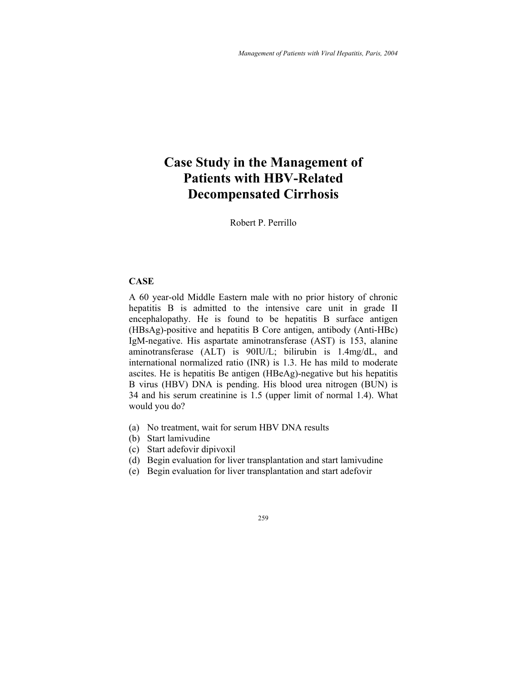# **Case Study in the Management of Patients with HBV-Related Decompensated Cirrhosis**

Robert P. Perrillo

# **CASE**

A 60 year-old Middle Eastern male with no prior history of chronic hepatitis B is admitted to the intensive care unit in grade II encephalopathy. He is found to be hepatitis B surface antigen (HBsAg)-positive and hepatitis B Core antigen, antibody (Anti-HBc) IgM-negative. His aspartate aminotransferase (AST) is 153, alanine aminotransferase (ALT) is 90IU/L; bilirubin is 1.4mg/dL, and international normalized ratio (INR) is 1.3. He has mild to moderate ascites. He is hepatitis Be antigen (HBeAg)-negative but his hepatitis B virus (HBV) DNA is pending. His blood urea nitrogen (BUN) is 34 and his serum creatinine is 1.5 (upper limit of normal 1.4). What would you do?

- (a) No treatment, wait for serum HBV DNA results
- (b) Start lamivudine
- (c) Start adefovir dipivoxil
- (d) Begin evaluation for liver transplantation and start lamivudine
- (e) Begin evaluation for liver transplantation and start adefovir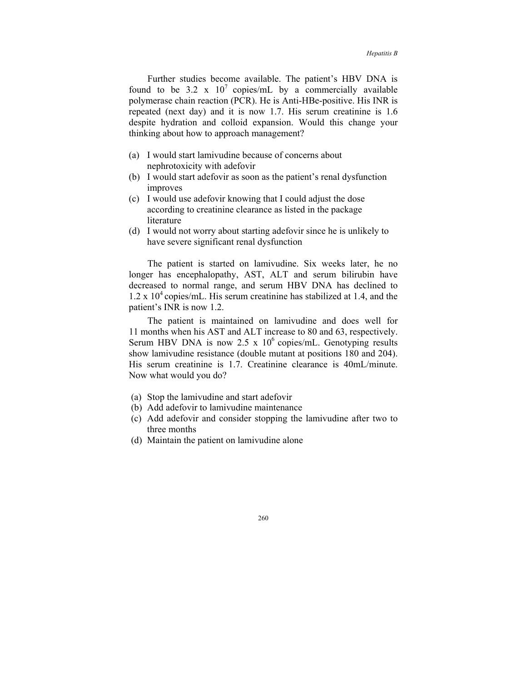Further studies become available. The patient's HBV DNA is found to be 3.2 x  $10^7$  copies/mL by a commercially available polymerase chain reaction (PCR). He is Anti-HBe-positive. His INR is repeated (next day) and it is now 1.7. His serum creatinine is 1.6 despite hydration and colloid expansion. Would this change your thinking about how to approach management?

- (a) I would start lamivudine because of concerns about nephrotoxicity with adefovir
- (b) I would start adefovir as soon as the patient's renal dysfunction improves
- (c) I would use adefovir knowing that I could adjust the dose according to creatinine clearance as listed in the package literature
- (d) I would not worry about starting adefovir since he is unlikely to have severe significant renal dysfunction

The patient is started on lamivudine. Six weeks later, he no longer has encephalopathy, AST, ALT and serum bilirubin have decreased to normal range, and serum HBV DNA has declined to  $1.2 \times 10^4$  copies/mL. His serum creatinine has stabilized at 1.4, and the patient's INR is now 1.2.

The patient is maintained on lamivudine and does well for 11 months when his AST and ALT increase to 80 and 63, respectively. Serum HBV DNA is now  $2.5 \times 10^6$  copies/mL. Genotyping results show lamivudine resistance (double mutant at positions 180 and 204). His serum creatinine is 1.7. Creatinine clearance is 40mL/minute. Now what would you do?

- (a) Stop the lamivudine and start adefovir
- (b) Add adefovir to lamivudine maintenance
- (c) Add adefovir and consider stopping the lamivudine after two to three months
- (d) Maintain the patient on lamivudine alone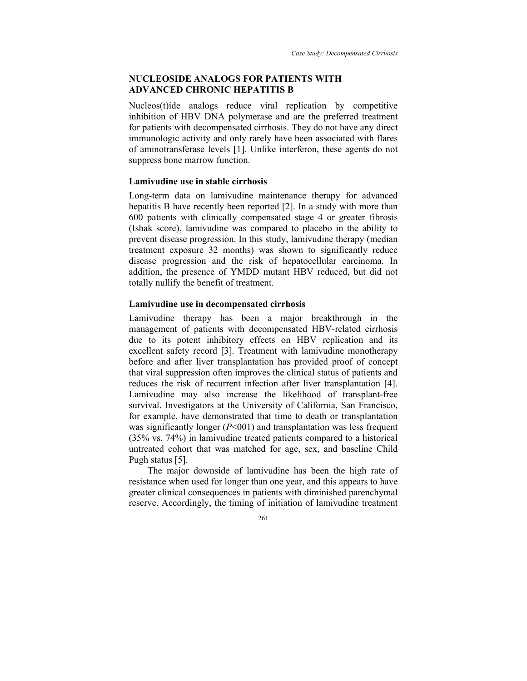## **NUCLEOSIDE ANALOGS FOR PATIENTS WITH ADVANCED CHRONIC HEPATITIS B**

Nucleos(t)ide analogs reduce viral replication by competitive inhibition of HBV DNA polymerase and are the preferred treatment for patients with decompensated cirrhosis. They do not have any direct immunologic activity and only rarely have been associated with flares of aminotransferase levels [1]. Unlike interferon, these agents do not suppress bone marrow function.

#### **Lamivudine use in stable cirrhosis**

Long-term data on lamivudine maintenance therapy for advanced hepatitis B have recently been reported [2]. In a study with more than 600 patients with clinically compensated stage 4 or greater fibrosis (Ishak score), lamivudine was compared to placebo in the ability to prevent disease progression. In this study, lamivudine therapy (median treatment exposure 32 months) was shown to significantly reduce disease progression and the risk of hepatocellular carcinoma. In addition, the presence of YMDD mutant HBV reduced, but did not totally nullify the benefit of treatment.

#### **Lamivudine use in decompensated cirrhosis**

Lamivudine therapy has been a major breakthrough in the management of patients with decompensated HBV-related cirrhosis due to its potent inhibitory effects on HBV replication and its excellent safety record [3]. Treatment with lamivudine monotherapy before and after liver transplantation has provided proof of concept that viral suppression often improves the clinical status of patients and reduces the risk of recurrent infection after liver transplantation [4]. Lamivudine may also increase the likelihood of transplant-free survival. Investigators at the University of California, San Francisco, for example, have demonstrated that time to death or transplantation was significantly longer  $(P<001)$  and transplantation was less frequent (35% vs. 74%) in lamivudine treated patients compared to a historical untreated cohort that was matched for age, sex, and baseline Child Pugh status [5].

The major downside of lamivudine has been the high rate of resistance when used for longer than one year, and this appears to have greater clinical consequences in patients with diminished parenchymal reserve. Accordingly, the timing of initiation of lamivudine treatment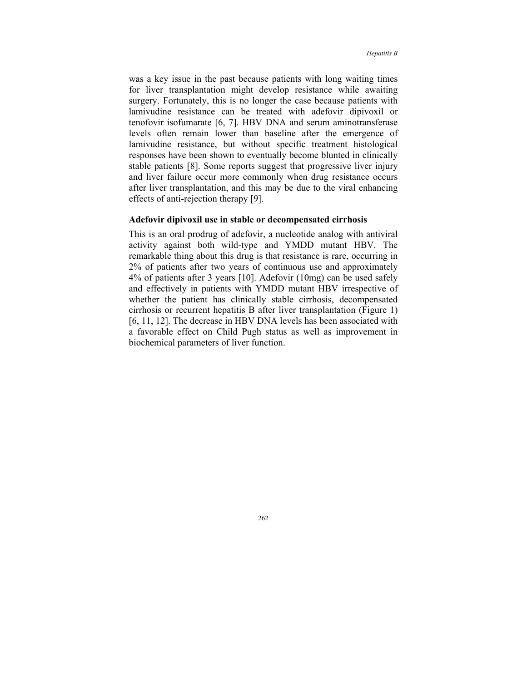was a key issue in the past because patients with long waiting times for liver transplantation might develop resistance while awaiting surgery. Fortunately, this is no longer the case because patients with lamivudine resistance can be treated with adefovir dipivoxil or tenofovir isofumarate [6, 7]. HBV DNA and serum aminotransferase levels often remain lower than baseline after the emergence of lamivudine resistance, but without specific treatment histological responses have been shown to eventually become blunted in clinically stable patients [8]. Some reports suggest that progressive liver injury and liver failure occur more commonly when drug resistance occurs after liver transplantation, and this may be due to the viral enhancing effects of anti-rejection therapy [9].

#### **Adefovir dipivoxil use in stable or decompensated cirrhosis**

This is an oral prodrug of adefovir, a nucleotide analog with antiviral activity against both wild-type and YMDD mutant HBV. The remarkable thing about this drug is that resistance is rare, occurring in 2% of patients after two years of continuous use and approximately 4% of patients after 3 years [10]. Adefovir (10mg) can be used safely and effectively in patients with YMDD mutant HBV irrespective of whether the patient has clinically stable cirrhosis, decompensated cirrhosis or recurrent hepatitis B after liver transplantation (Figure 1) [6, 11, 12]. The decrease in HBV DNA levels has been associated with a favorable effect on Child Pugh status as well as improvement in biochemical parameters of liver function.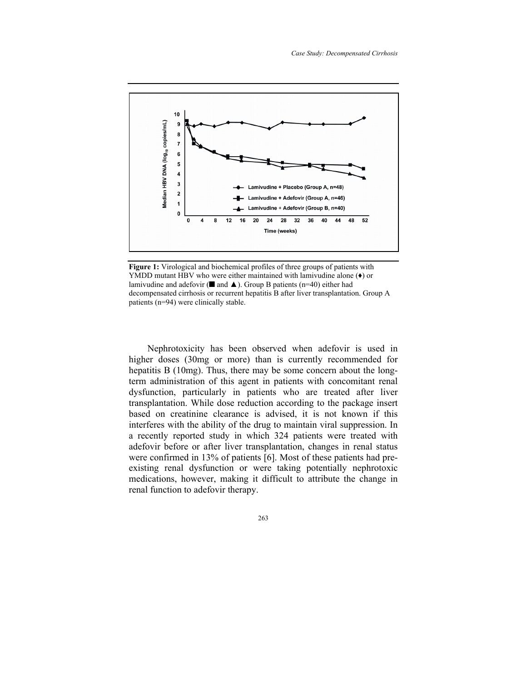

**Figure 1:** Virological and biochemical profiles of three groups of patients with YMDD mutant HBV who were either maintained with lamivudine alone  $\left(\bullet\right)$  or lamivudine and adefovir ( $\blacksquare$  and  $\blacktriangle$ ). Group B patients (n=40) either had decompensated cirrhosis or recurrent hepatitis B after liver transplantation. Group A patients (n=94) were clinically stable.

Nephrotoxicity has been observed when adefovir is used in higher doses (30mg or more) than is currently recommended for hepatitis B (10mg). Thus, there may be some concern about the longterm administration of this agent in patients with concomitant renal dysfunction, particularly in patients who are treated after liver transplantation. While dose reduction according to the package insert based on creatinine clearance is advised, it is not known if this interferes with the ability of the drug to maintain viral suppression. In a recently reported study in which 324 patients were treated with adefovir before or after liver transplantation, changes in renal status were confirmed in 13% of patients [6]. Most of these patients had preexisting renal dysfunction or were taking potentially nephrotoxic medications, however, making it difficult to attribute the change in renal function to adefovir therapy.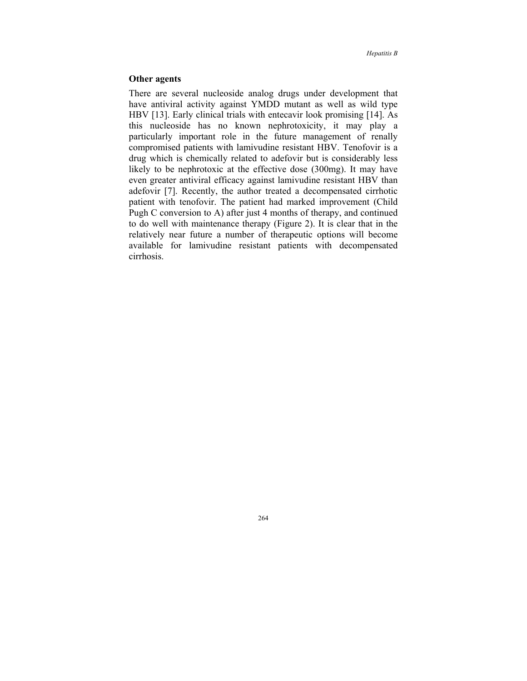#### **Other agents**

There are several nucleoside analog drugs under development that have antiviral activity against YMDD mutant as well as wild type HBV [13]. Early clinical trials with entecavir look promising [14]. As this nucleoside has no known nephrotoxicity, it may play a particularly important role in the future management of renally compromised patients with lamivudine resistant HBV. Tenofovir is a drug which is chemically related to adefovir but is considerably less likely to be nephrotoxic at the effective dose (300mg). It may have even greater antiviral efficacy against lamivudine resistant HBV than adefovir [7]. Recently, the author treated a decompensated cirrhotic patient with tenofovir. The patient had marked improvement (Child Pugh C conversion to A) after just 4 months of therapy, and continued to do well with maintenance therapy (Figure 2). It is clear that in the relatively near future a number of therapeutic options will become available for lamivudine resistant patients with decompensated cirrhosis.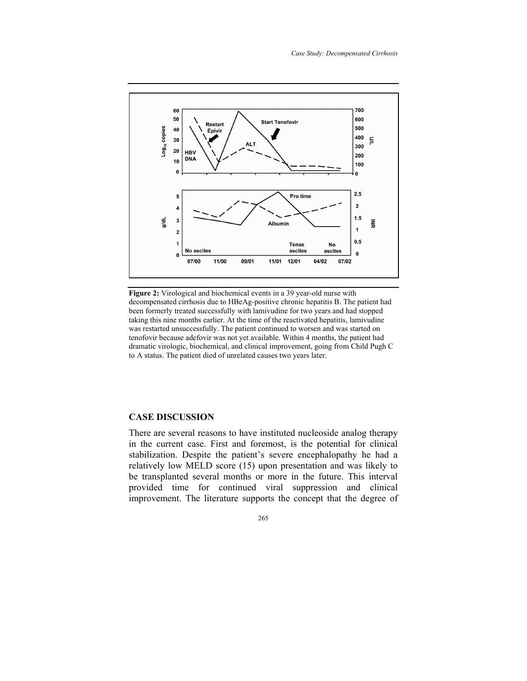

**Figure 2:** Virological and biochemical events in a 39 year-old nurse with decompensated cirrhosis due to HBeAg-positive chronic hepatitis B. The patient had been formerly treated successfully with lamivudine for two years and had stopped taking this nine months earlier. At the time of the reactivated hepatitis, lamivudine was restarted unsuccessfully. The patient continued to worsen and was started on tenofovir because adefovir was not yet available. Within 4 months, the patient had dramatic virologic, biochemical, and clinical improvement, going from Child Pugh C to A status. The patient died of unrelated causes two years later.

### **CASE DISCUSSION**

There are several reasons to have instituted nucleoside analog therapy in the current case. First and foremost, is the potential for clinical stabilization. Despite the patient's severe encephalopathy he had a relatively low MELD score (15) upon presentation and was likely to be transplanted several months or more in the future. This interval provided time for continued viral suppression and clinical improvement. The literature supports the concept that the degree of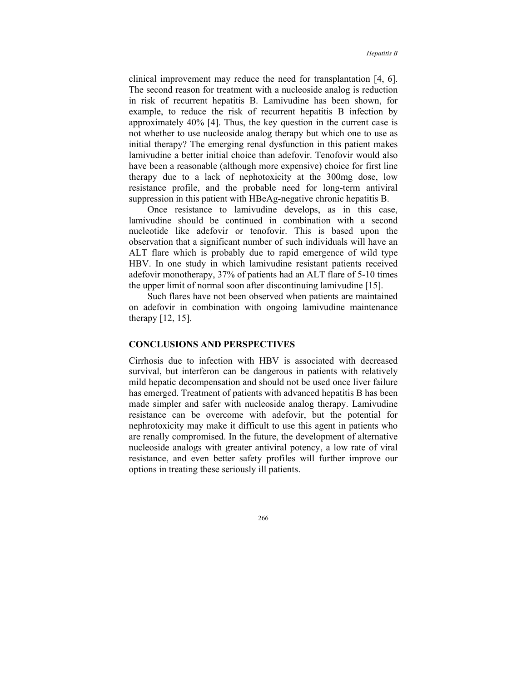clinical improvement may reduce the need for transplantation [4, 6]. The second reason for treatment with a nucleoside analog is reduction in risk of recurrent hepatitis B. Lamivudine has been shown, for example, to reduce the risk of recurrent hepatitis B infection by approximately 40% [4]. Thus, the key question in the current case is not whether to use nucleoside analog therapy but which one to use as initial therapy? The emerging renal dysfunction in this patient makes lamivudine a better initial choice than adefovir. Tenofovir would also have been a reasonable (although more expensive) choice for first line therapy due to a lack of nephotoxicity at the 300mg dose, low resistance profile, and the probable need for long-term antiviral suppression in this patient with HBeAg-negative chronic hepatitis B.

Once resistance to lamivudine develops, as in this case, lamivudine should be continued in combination with a second nucleotide like adefovir or tenofovir. This is based upon the observation that a significant number of such individuals will have an ALT flare which is probably due to rapid emergence of wild type HBV. In one study in which lamivudine resistant patients received adefovir monotherapy, 37% of patients had an ALT flare of 5-10 times the upper limit of normal soon after discontinuing lamivudine [15].

Such flares have not been observed when patients are maintained on adefovir in combination with ongoing lamivudine maintenance therapy [12, 15].

#### **CONCLUSIONS AND PERSPECTIVES**

Cirrhosis due to infection with HBV is associated with decreased survival, but interferon can be dangerous in patients with relatively mild hepatic decompensation and should not be used once liver failure has emerged. Treatment of patients with advanced hepatitis B has been made simpler and safer with nucleoside analog therapy. Lamivudine resistance can be overcome with adefovir, but the potential for nephrotoxicity may make it difficult to use this agent in patients who are renally compromised. In the future, the development of alternative nucleoside analogs with greater antiviral potency, a low rate of viral resistance, and even better safety profiles will further improve our options in treating these seriously ill patients.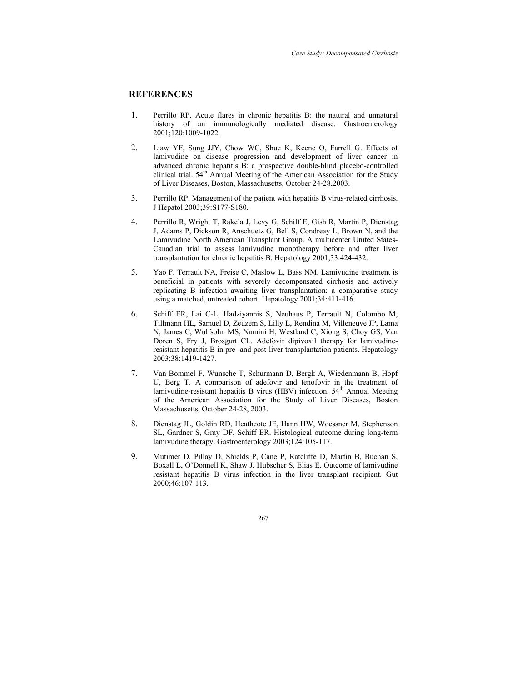## **REFERENCES**

- 1. Perrillo RP. Acute flares in chronic hepatitis B: the natural and unnatural history of an immunologically mediated disease. Gastroenterology 2001;120:1009-1022.
- 2. Liaw YF, Sung JJY, Chow WC, Shue K, Keene O, Farrell G. Effects of lamivudine on disease progression and development of liver cancer in advanced chronic hepatitis B: a prospective double-blind placebo-controlled clinical trial. 54<sup>th</sup> Annual Meeting of the American Association for the Study of Liver Diseases, Boston, Massachusetts, October 24-28,2003.
- 3. Perrillo RP. Management of the patient with hepatitis B virus-related cirrhosis. J Hepatol 2003;39:S177-S180.
- 4. Perrillo R, Wright T, Rakela J, Levy G, Schiff E, Gish R, Martin P, Dienstag J, Adams P, Dickson R, Anschuetz G, Bell S, Condreay L, Brown N, and the Lamivudine North American Transplant Group. A multicenter United States-Canadian trial to assess lamivudine monotherapy before and after liver transplantation for chronic hepatitis B. Hepatology 2001;33:424-432.
- 5. Yao F, Terrault NA, Freise C, Maslow L, Bass NM. Lamivudine treatment is beneficial in patients with severely decompensated cirrhosis and actively replicating B infection awaiting liver transplantation: a comparative study using a matched, untreated cohort. Hepatology 2001;34:411-416.
- 6. Schiff ER, Lai C-L, Hadziyannis S, Neuhaus P, Terrault N, Colombo M, Tillmann HL, Samuel D, Zeuzem S, Lilly L, Rendina M, Villeneuve JP, Lama N, James C, Wulfsohn MS, Namini H, Westland C, Xiong S, Choy GS, Van Doren S, Fry J, Brosgart CL. Adefovir dipivoxil therapy for lamivudineresistant hepatitis B in pre- and post-liver transplantation patients. Hepatology 2003;38:1419-1427.
- 7. Van Bommel F, Wunsche T, Schurmann D, Bergk A, Wiedenmann B, Hopf U, Berg T. A comparison of adefovir and tenofovir in the treatment of lamivudine-resistant hepatitis B virus (HBV) infection. 54<sup>th</sup> Annual Meeting of the American Association for the Study of Liver Diseases, Boston Massachusetts, October 24-28, 2003.
- 8. Dienstag JL, Goldin RD, Heathcote JE, Hann HW, Woessner M, Stephenson SL, Gardner S, Gray DF, Schiff ER. Histological outcome during long-term lamivudine therapy. Gastroenterology 2003;124:105-117.
- 9. Mutimer D, Pillay D, Shields P, Cane P, Ratcliffe D, Martin B, Buchan S, Boxall L, O'Donnell K, Shaw J, Hubscher S, Elias E. Outcome of lamivudine resistant hepatitis B virus infection in the liver transplant recipient. Gut 2000;46:107-113.